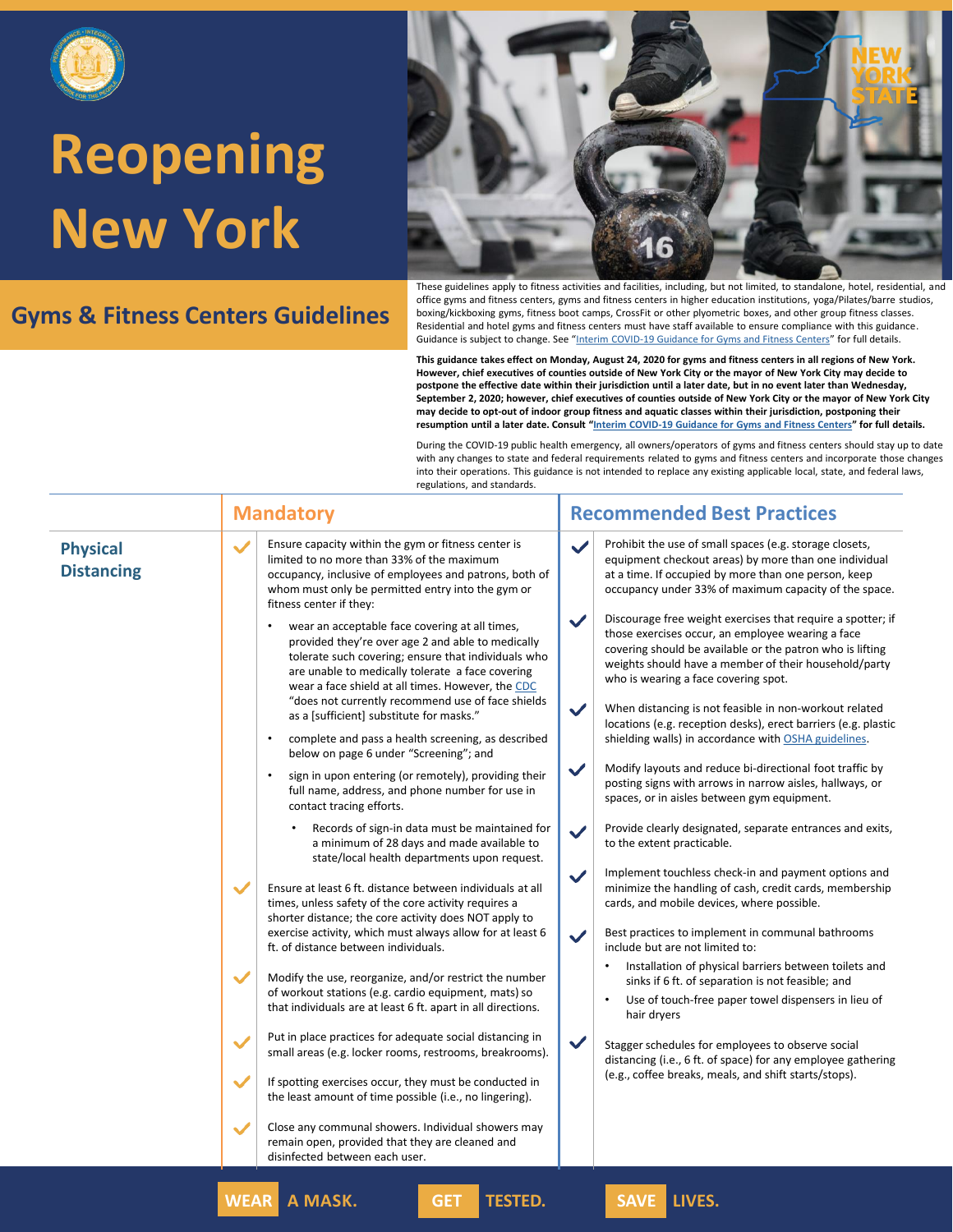

### **Gyms & Fitness Centers Guidelines**



These guidelines apply to fitness activities and facilities, including, but not limited, to standalone, hotel, residential, and office gyms and fitness centers, gyms and fitness centers in higher education institutions, yoga/Pilates/barre studios, boxing/kickboxing gyms, fitness boot camps, CrossFit or other plyometric boxes, and other group fitness classes. Residential and hotel gyms and fitness centers must have staff available to ensure compliance with this guidance. Guidance is subject to change. See "[Interim COVID-19 Guidance for Gyms and Fitness Centers](https://www.governor.ny.gov/sites/governor.ny.gov/files/atoms/files/Gyms_and_Fitness_Centers_Detailed_Guidelines.pdf)" for full details.

**This guidance takes effect on Monday, August 24, 2020 for gyms and fitness centers in all regions of New York. However, chief executives of counties outside of New York City or the mayor of New York City may decide to postpone the effective date within their jurisdiction until a later date, but in no event later than Wednesday, September 2, 2020; however, chief executives of counties outside of New York City or the mayor of New York City may decide to opt-out of indoor group fitness and aquatic classes within their jurisdiction, postponing their resumption until a later date. Consult "[Interim COVID-19 Guidance for Gyms and Fitness Centers](https://www.governor.ny.gov/sites/governor.ny.gov/files/atoms/files/Gyms_and_Fitness_Centers_Detailed_Guidelines.pdf)" for full details.**

During the COVID-19 public health emergency, all owners/operators of gyms and fitness centers should stay up to date with any changes to state and federal requirements related to gyms and fitness centers and incorporate those changes into their operations. This guidance is not intended to replace any existing applicable local, state, and federal laws, regulations, and standards.

|                                      | <b>Mandatory</b>                                                                                                                                                                                                                                                                                                                                                                                                                                                                                                                                                                                                                                                                                                                                                                                                                                                                                                                                                                                                                                                                                                                                                                                                                                                                                                                                                                                                                                                                                                                                                                                                                                                                                                                                                                                                                                                                                                                                                       | <b>Recommended Best Practices</b>                                                                                                                                                                                                                                                                                                                                                                                                                                                                                                                                                                                                                                                                                                                                                                                                                                                                                                                                                                                                                                                                                                                                                                                                                                                                                                                                                                                                                                                                                                                                                                                                                                                                                                    |
|--------------------------------------|------------------------------------------------------------------------------------------------------------------------------------------------------------------------------------------------------------------------------------------------------------------------------------------------------------------------------------------------------------------------------------------------------------------------------------------------------------------------------------------------------------------------------------------------------------------------------------------------------------------------------------------------------------------------------------------------------------------------------------------------------------------------------------------------------------------------------------------------------------------------------------------------------------------------------------------------------------------------------------------------------------------------------------------------------------------------------------------------------------------------------------------------------------------------------------------------------------------------------------------------------------------------------------------------------------------------------------------------------------------------------------------------------------------------------------------------------------------------------------------------------------------------------------------------------------------------------------------------------------------------------------------------------------------------------------------------------------------------------------------------------------------------------------------------------------------------------------------------------------------------------------------------------------------------------------------------------------------------|--------------------------------------------------------------------------------------------------------------------------------------------------------------------------------------------------------------------------------------------------------------------------------------------------------------------------------------------------------------------------------------------------------------------------------------------------------------------------------------------------------------------------------------------------------------------------------------------------------------------------------------------------------------------------------------------------------------------------------------------------------------------------------------------------------------------------------------------------------------------------------------------------------------------------------------------------------------------------------------------------------------------------------------------------------------------------------------------------------------------------------------------------------------------------------------------------------------------------------------------------------------------------------------------------------------------------------------------------------------------------------------------------------------------------------------------------------------------------------------------------------------------------------------------------------------------------------------------------------------------------------------------------------------------------------------------------------------------------------------|
| <b>Physical</b><br><b>Distancing</b> | Ensure capacity within the gym or fitness center is<br>$\checkmark$<br>limited to no more than 33% of the maximum<br>occupancy, inclusive of employees and patrons, both of<br>whom must only be permitted entry into the gym or<br>fitness center if they:<br>wear an acceptable face covering at all times,<br>provided they're over age 2 and able to medically<br>tolerate such covering; ensure that individuals who<br>are unable to medically tolerate a face covering<br>wear a face shield at all times. However, the CDC<br>"does not currently recommend use of face shields<br>as a [sufficient] substitute for masks."<br>complete and pass a health screening, as described<br>below on page 6 under "Screening"; and<br>sign in upon entering (or remotely), providing their<br>full name, address, and phone number for use in<br>contact tracing efforts.<br>Records of sign-in data must be maintained for<br>a minimum of 28 days and made available to<br>state/local health departments upon request.<br>$\checkmark$<br>Ensure at least 6 ft. distance between individuals at all<br>times, unless safety of the core activity requires a<br>shorter distance; the core activity does NOT apply to<br>exercise activity, which must always allow for at least 6<br>ft. of distance between individuals.<br>$\checkmark$<br>Modify the use, reorganize, and/or restrict the number<br>of workout stations (e.g. cardio equipment, mats) so<br>that individuals are at least 6 ft. apart in all directions.<br>Put in place practices for adequate social distancing in<br>$\checkmark$<br>small areas (e.g. locker rooms, restrooms, breakrooms).<br>$\checkmark$<br>If spotting exercises occur, they must be conducted in<br>the least amount of time possible (i.e., no lingering).<br>Close any communal showers. Individual showers may<br>$\checkmark$<br>remain open, provided that they are cleaned and<br>disinfected between each user. | Prohibit the use of small spaces (e.g. storage closets,<br>$\checkmark$<br>equipment checkout areas) by more than one individual<br>at a time. If occupied by more than one person, keep<br>occupancy under 33% of maximum capacity of the space.<br>$\checkmark$<br>Discourage free weight exercises that require a spotter; if<br>those exercises occur, an employee wearing a face<br>covering should be available or the patron who is lifting<br>weights should have a member of their household/party<br>who is wearing a face covering spot.<br>$\checkmark$<br>When distancing is not feasible in non-workout related<br>locations (e.g. reception desks), erect barriers (e.g. plastic<br>shielding walls) in accordance with OSHA guidelines.<br>$\checkmark$<br>Modify layouts and reduce bi-directional foot traffic by<br>posting signs with arrows in narrow aisles, hallways, or<br>spaces, or in aisles between gym equipment.<br>Provide clearly designated, separate entrances and exits,<br>$\checkmark$<br>to the extent practicable.<br>Implement touchless check-in and payment options and<br>$\checkmark$<br>minimize the handling of cash, credit cards, membership<br>cards, and mobile devices, where possible.<br>Best practices to implement in communal bathrooms<br>$\checkmark$<br>include but are not limited to:<br>Installation of physical barriers between toilets and<br>sinks if 6 ft. of separation is not feasible; and<br>Use of touch-free paper towel dispensers in lieu of<br>hair dryers<br>$\checkmark$<br>Stagger schedules for employees to observe social<br>distancing (i.e., 6 ft. of space) for any employee gathering<br>(e.g., coffee breaks, meals, and shift starts/stops). |

**WEAR A MASK. GET TESTED. SAVE LIVES.**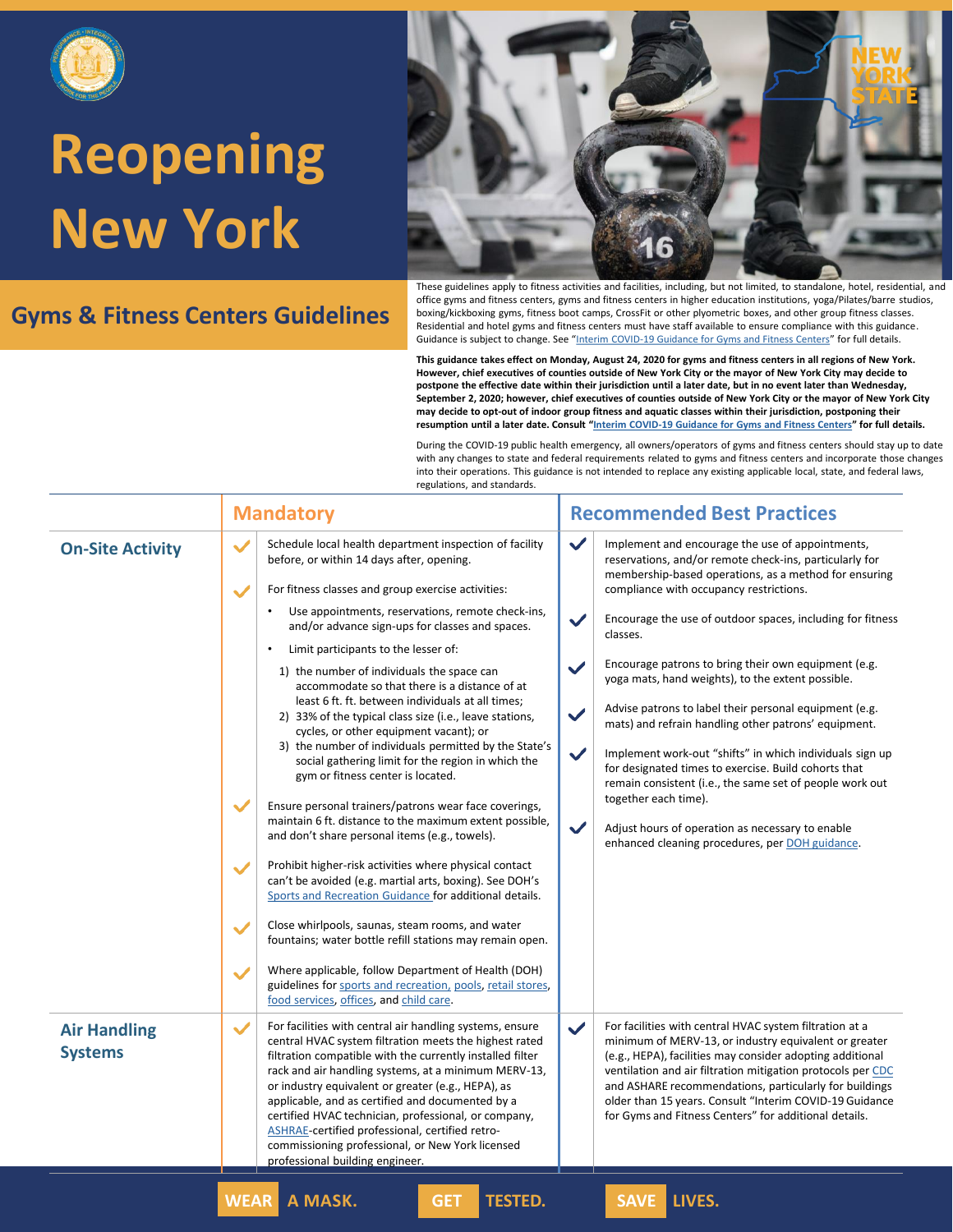

### **Gyms & Fitness Centers Guidelines**



These guidelines apply to fitness activities and facilities, including, but not limited, to standalone, hotel, residential, and office gyms and fitness centers, gyms and fitness centers in higher education institutions, yoga/Pilates/barre studios, boxing/kickboxing gyms, fitness boot camps, CrossFit or other plyometric boxes, and other group fitness classes. Residential and hotel gyms and fitness centers must have staff available to ensure compliance with this guidance. Guidance is subject to change. See "[Interim COVID-19 Guidance for Gyms and Fitness Centers](https://www.governor.ny.gov/sites/governor.ny.gov/files/atoms/files/Gyms_and_Fitness_Centers_Detailed_Guidelines.pdf)" for full details.

**This guidance takes effect on Monday, August 24, 2020 for gyms and fitness centers in all regions of New York. However, chief executives of counties outside of New York City or the mayor of New York City may decide to postpone the effective date within their jurisdiction until a later date, but in no event later than Wednesday, September 2, 2020; however, chief executives of counties outside of New York City or the mayor of New York City may decide to opt-out of indoor group fitness and aquatic classes within their jurisdiction, postponing their resumption until a later date. Consult "[Interim COVID-19 Guidance for Gyms and Fitness Centers](https://www.governor.ny.gov/sites/governor.ny.gov/files/atoms/files/Gyms_and_Fitness_Centers_Detailed_Guidelines.pdf)" for full details.**

|                                       | <b>Recommended Best Practices</b><br><b>Mandatory</b>                                                                                                                                                                                                                                                                                                                                                                                                                                                                                                                                                                                                                                                                                                                                                                                                                                                                                                                                                                                                                                                                                                                                                                                                                                                                                                                                                                                                                                                                                                                                                                                                                                                                                                                                                                                                                                                                                                                                                                                                                                                                                                                                                                                                                                                                    |  |
|---------------------------------------|--------------------------------------------------------------------------------------------------------------------------------------------------------------------------------------------------------------------------------------------------------------------------------------------------------------------------------------------------------------------------------------------------------------------------------------------------------------------------------------------------------------------------------------------------------------------------------------------------------------------------------------------------------------------------------------------------------------------------------------------------------------------------------------------------------------------------------------------------------------------------------------------------------------------------------------------------------------------------------------------------------------------------------------------------------------------------------------------------------------------------------------------------------------------------------------------------------------------------------------------------------------------------------------------------------------------------------------------------------------------------------------------------------------------------------------------------------------------------------------------------------------------------------------------------------------------------------------------------------------------------------------------------------------------------------------------------------------------------------------------------------------------------------------------------------------------------------------------------------------------------------------------------------------------------------------------------------------------------------------------------------------------------------------------------------------------------------------------------------------------------------------------------------------------------------------------------------------------------------------------------------------------------------------------------------------------------|--|
| <b>On-Site Activity</b>               | $\checkmark$<br>Schedule local health department inspection of facility<br>Implement and encourage the use of appointments,<br>$\checkmark$<br>reservations, and/or remote check-ins, particularly for<br>before, or within 14 days after, opening.<br>membership-based operations, as a method for ensuring<br>For fitness classes and group exercise activities:<br>compliance with occupancy restrictions.<br>Use appointments, reservations, remote check-ins,<br>$\checkmark$<br>Encourage the use of outdoor spaces, including for fitness<br>and/or advance sign-ups for classes and spaces.<br>classes.<br>Limit participants to the lesser of:<br>Encourage patrons to bring their own equipment (e.g.<br>$\checkmark$<br>1) the number of individuals the space can<br>yoga mats, hand weights), to the extent possible.<br>accommodate so that there is a distance of at<br>least 6 ft. ft. between individuals at all times;<br>Advise patrons to label their personal equipment (e.g.<br>$\checkmark$<br>2) 33% of the typical class size (i.e., leave stations,<br>mats) and refrain handling other patrons' equipment.<br>cycles, or other equipment vacant); or<br>3) the number of individuals permitted by the State's<br>$\checkmark$<br>Implement work-out "shifts" in which individuals sign up<br>social gathering limit for the region in which the<br>for designated times to exercise. Build cohorts that<br>gym or fitness center is located.<br>remain consistent (i.e., the same set of people work out<br>together each time).<br>Ensure personal trainers/patrons wear face coverings,<br>maintain 6 ft. distance to the maximum extent possible,<br>$\checkmark$<br>Adjust hours of operation as necessary to enable<br>and don't share personal items (e.g., towels).<br>enhanced cleaning procedures, per DOH guidance.<br>Prohibit higher-risk activities where physical contact<br>can't be avoided (e.g. martial arts, boxing). See DOH's<br>Sports and Recreation Guidance for additional details.<br>Close whirlpools, saunas, steam rooms, and water<br>fountains; water bottle refill stations may remain open.<br>Where applicable, follow Department of Health (DOH)<br>guidelines for sports and recreation, pools, retail stores,<br>food services, offices, and child care. |  |
| <b>Air Handling</b><br><b>Systems</b> | For facilities with central air handling systems, ensure<br>$\checkmark$<br>For facilities with central HVAC system filtration at a<br>central HVAC system filtration meets the highest rated<br>minimum of MERV-13, or industry equivalent or greater<br>filtration compatible with the currently installed filter<br>(e.g., HEPA), facilities may consider adopting additional<br>rack and air handling systems, at a minimum MERV-13,<br>ventilation and air filtration mitigation protocols per CDC<br>or industry equivalent or greater (e.g., HEPA), as<br>and ASHARE recommendations, particularly for buildings<br>applicable, and as certified and documented by a<br>older than 15 years. Consult "Interim COVID-19 Guidance<br>for Gyms and Fitness Centers" for additional details.<br>certified HVAC technician, professional, or company,<br>ASHRAE-certified professional, certified retro-<br>commissioning professional, or New York licensed<br>professional building engineer.                                                                                                                                                                                                                                                                                                                                                                                                                                                                                                                                                                                                                                                                                                                                                                                                                                                                                                                                                                                                                                                                                                                                                                                                                                                                                                                        |  |
|                                       | <b>SAVE LIVES.</b><br><b>WEAR</b><br>A MASK.<br><b>TESTED.</b><br><b>GET</b>                                                                                                                                                                                                                                                                                                                                                                                                                                                                                                                                                                                                                                                                                                                                                                                                                                                                                                                                                                                                                                                                                                                                                                                                                                                                                                                                                                                                                                                                                                                                                                                                                                                                                                                                                                                                                                                                                                                                                                                                                                                                                                                                                                                                                                             |  |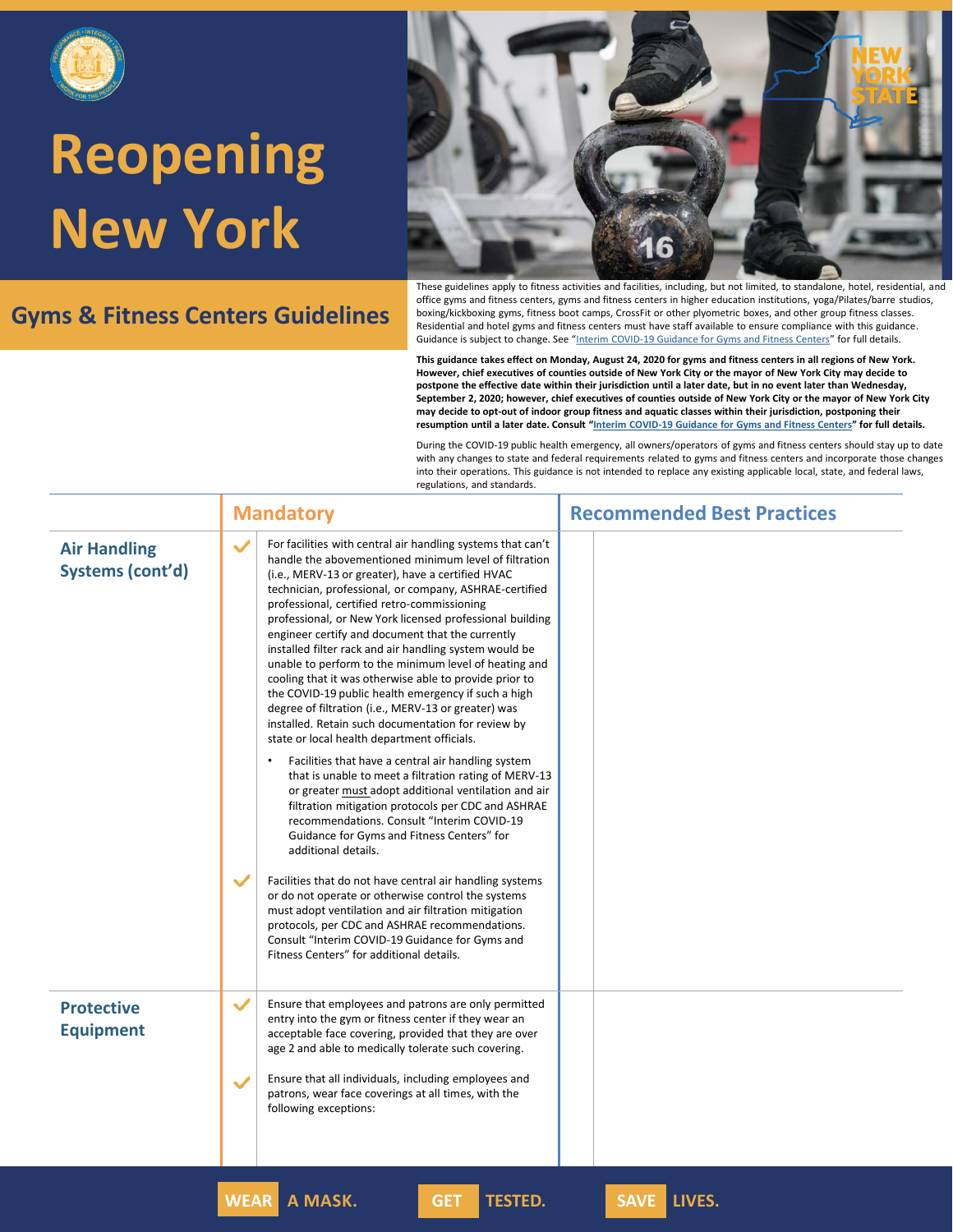

#### **Gyms & Fitness Centers Guidelines**



These guidelines apply to fitness activities and facilities, including, but not limited, to standalone, hotel, residential, and office gyms and fitness centers, gyms and fitness centers in higher education institutions, yoga/Pilates/barre studios, boxing/kickboxing gyms, fitness boot camps, CrossFit or other plyometric boxes, and other group fitness classes. Residential and hotel gyms and fitness centers must have staff available to ensure compliance with this guidance. Guidance is subject to change. See "[Interim COVID-19 Guidance for Gyms and Fitness Centers](https://www.governor.ny.gov/sites/governor.ny.gov/files/atoms/files/Gyms_and_Fitness_Centers_Detailed_Guidelines.pdf)" for full details.

**This guidance takes effect on Monday, August 24, 2020 for gyms and fitness centers in all regions of New York. However, chief executives of counties outside of New York City or the mayor of New York City may decide to postpone the effective date within their jurisdiction until a later date, but in no event later than Wednesday, September 2, 2020; however, chief executives of counties outside of New York City or the mayor of New York City may decide to opt-out of indoor group fitness and aquatic classes within their jurisdiction, postponing their resumption until a later date. Consult "[Interim COVID-19 Guidance for Gyms and Fitness Centers](https://www.governor.ny.gov/sites/governor.ny.gov/files/atoms/files/Gyms_and_Fitness_Centers_Detailed_Guidelines.pdf)" for full details.**

| <b>Air Handling</b><br>Systems (cont'd) | $\checkmark$<br>For facilities with central air handling systems that can't<br>handle the abovementioned minimum level of filtration                                                                                                                                                                                                                                                                                                                                                                                                                                                                                                                                       |  |
|-----------------------------------------|----------------------------------------------------------------------------------------------------------------------------------------------------------------------------------------------------------------------------------------------------------------------------------------------------------------------------------------------------------------------------------------------------------------------------------------------------------------------------------------------------------------------------------------------------------------------------------------------------------------------------------------------------------------------------|--|
|                                         | (i.e., MERV-13 or greater), have a certified HVAC<br>technician, professional, or company, ASHRAE-certified<br>professional, certified retro-commissioning<br>professional, or New York licensed professional building<br>engineer certify and document that the currently<br>installed filter rack and air handling system would be<br>unable to perform to the minimum level of heating and<br>cooling that it was otherwise able to provide prior to<br>the COVID-19 public health emergency if such a high<br>degree of filtration (i.e., MERV-13 or greater) was<br>installed. Retain such documentation for review by<br>state or local health department officials. |  |
|                                         | Facilities that have a central air handling system<br>$\bullet$<br>that is unable to meet a filtration rating of MERV-13<br>or greater must adopt additional ventilation and air<br>filtration mitigation protocols per CDC and ASHRAE<br>recommendations. Consult "Interim COVID-19<br>Guidance for Gyms and Fitness Centers" for<br>additional details.<br>$\checkmark$<br>Facilities that do not have central air handling systems                                                                                                                                                                                                                                      |  |
|                                         | or do not operate or otherwise control the systems<br>must adopt ventilation and air filtration mitigation<br>protocols, per CDC and ASHRAE recommendations.<br>Consult "Interim COVID-19 Guidance for Gyms and<br>Fitness Centers" for additional details.                                                                                                                                                                                                                                                                                                                                                                                                                |  |
| <b>Protective</b><br><b>Equipment</b>   | $\checkmark$<br>Ensure that employees and patrons are only permitted<br>entry into the gym or fitness center if they wear an<br>acceptable face covering, provided that they are over<br>age 2 and able to medically tolerate such covering.<br>Ensure that all individuals, including employees and                                                                                                                                                                                                                                                                                                                                                                       |  |
|                                         | $\checkmark$<br>patrons, wear face coverings at all times, with the<br>following exceptions:                                                                                                                                                                                                                                                                                                                                                                                                                                                                                                                                                                               |  |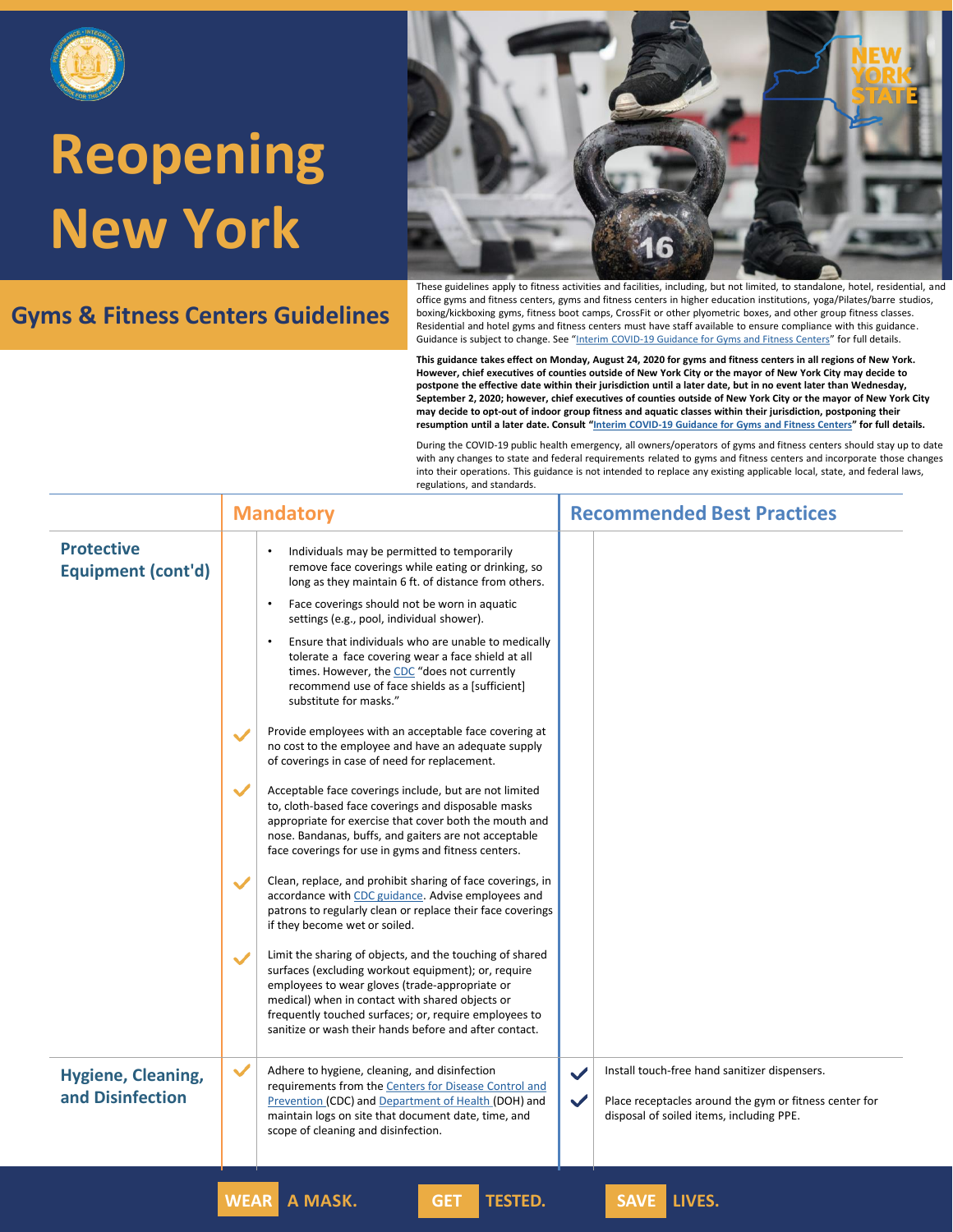

### **Gyms & Fitness Centers Guidelines**



These guidelines apply to fitness activities and facilities, including, but not limited, to standalone, hotel, residential, and office gyms and fitness centers, gyms and fitness centers in higher education institutions, yoga/Pilates/barre studios, boxing/kickboxing gyms, fitness boot camps, CrossFit or other plyometric boxes, and other group fitness classes. Residential and hotel gyms and fitness centers must have staff available to ensure compliance with this guidance. Guidance is subject to change. See "[Interim COVID-19 Guidance for Gyms and Fitness Centers](https://www.governor.ny.gov/sites/governor.ny.gov/files/atoms/files/Gyms_and_Fitness_Centers_Detailed_Guidelines.pdf)" for full details.

**This guidance takes effect on Monday, August 24, 2020 for gyms and fitness centers in all regions of New York. However, chief executives of counties outside of New York City or the mayor of New York City may decide to postpone the effective date within their jurisdiction until a later date, but in no event later than Wednesday, September 2, 2020; however, chief executives of counties outside of New York City or the mayor of New York City may decide to opt-out of indoor group fitness and aquatic classes within their jurisdiction, postponing their resumption until a later date. Consult "[Interim COVID-19 Guidance for Gyms and Fitness Centers](https://www.governor.ny.gov/sites/governor.ny.gov/files/atoms/files/Gyms_and_Fitness_Centers_Detailed_Guidelines.pdf)" for full details.**

|                                                | <b>Mandatory</b>                                                                                                                                                                                                                                                                                                                                        | <b>Recommended Best Practices</b>                                                                                                                                                   |
|------------------------------------------------|---------------------------------------------------------------------------------------------------------------------------------------------------------------------------------------------------------------------------------------------------------------------------------------------------------------------------------------------------------|-------------------------------------------------------------------------------------------------------------------------------------------------------------------------------------|
| <b>Protective</b><br><b>Equipment (cont'd)</b> | Individuals may be permitted to temporarily<br>remove face coverings while eating or drinking, so<br>long as they maintain 6 ft. of distance from others.                                                                                                                                                                                               |                                                                                                                                                                                     |
|                                                | Face coverings should not be worn in aquatic<br>$\bullet$<br>settings (e.g., pool, individual shower).                                                                                                                                                                                                                                                  |                                                                                                                                                                                     |
|                                                | Ensure that individuals who are unable to medically<br>$\bullet$<br>tolerate a face covering wear a face shield at all<br>times. However, the CDC "does not currently<br>recommend use of face shields as a [sufficient]<br>substitute for masks."                                                                                                      |                                                                                                                                                                                     |
|                                                | Provide employees with an acceptable face covering at<br>$\checkmark$<br>no cost to the employee and have an adequate supply<br>of coverings in case of need for replacement.                                                                                                                                                                           |                                                                                                                                                                                     |
|                                                | Acceptable face coverings include, but are not limited<br>to, cloth-based face coverings and disposable masks<br>appropriate for exercise that cover both the mouth and<br>nose. Bandanas, buffs, and gaiters are not acceptable<br>face coverings for use in gyms and fitness centers.                                                                 |                                                                                                                                                                                     |
|                                                | Clean, replace, and prohibit sharing of face coverings, in<br>$\checkmark$<br>accordance with CDC guidance. Advise employees and<br>patrons to regularly clean or replace their face coverings<br>if they become wet or soiled.                                                                                                                         |                                                                                                                                                                                     |
|                                                | Limit the sharing of objects, and the touching of shared<br>$\checkmark$<br>surfaces (excluding workout equipment); or, require<br>employees to wear gloves (trade-appropriate or<br>medical) when in contact with shared objects or<br>frequently touched surfaces; or, require employees to<br>sanitize or wash their hands before and after contact. |                                                                                                                                                                                     |
| <b>Hygiene, Cleaning,</b><br>and Disinfection  | $\checkmark$<br>Adhere to hygiene, cleaning, and disinfection<br>requirements from the Centers for Disease Control and<br>Prevention (CDC) and Department of Health (DOH) and<br>maintain logs on site that document date, time, and<br>scope of cleaning and disinfection.                                                                             | Install touch-free hand sanitizer dispensers.<br>$\checkmark$<br>$\checkmark$<br>Place receptacles around the gym or fitness center for<br>disposal of soiled items, including PPE. |
|                                                | A MASK.<br><b>TESTED.</b><br><b>WEAR</b><br><b>GET</b>                                                                                                                                                                                                                                                                                                  | SAVE LIVES.                                                                                                                                                                         |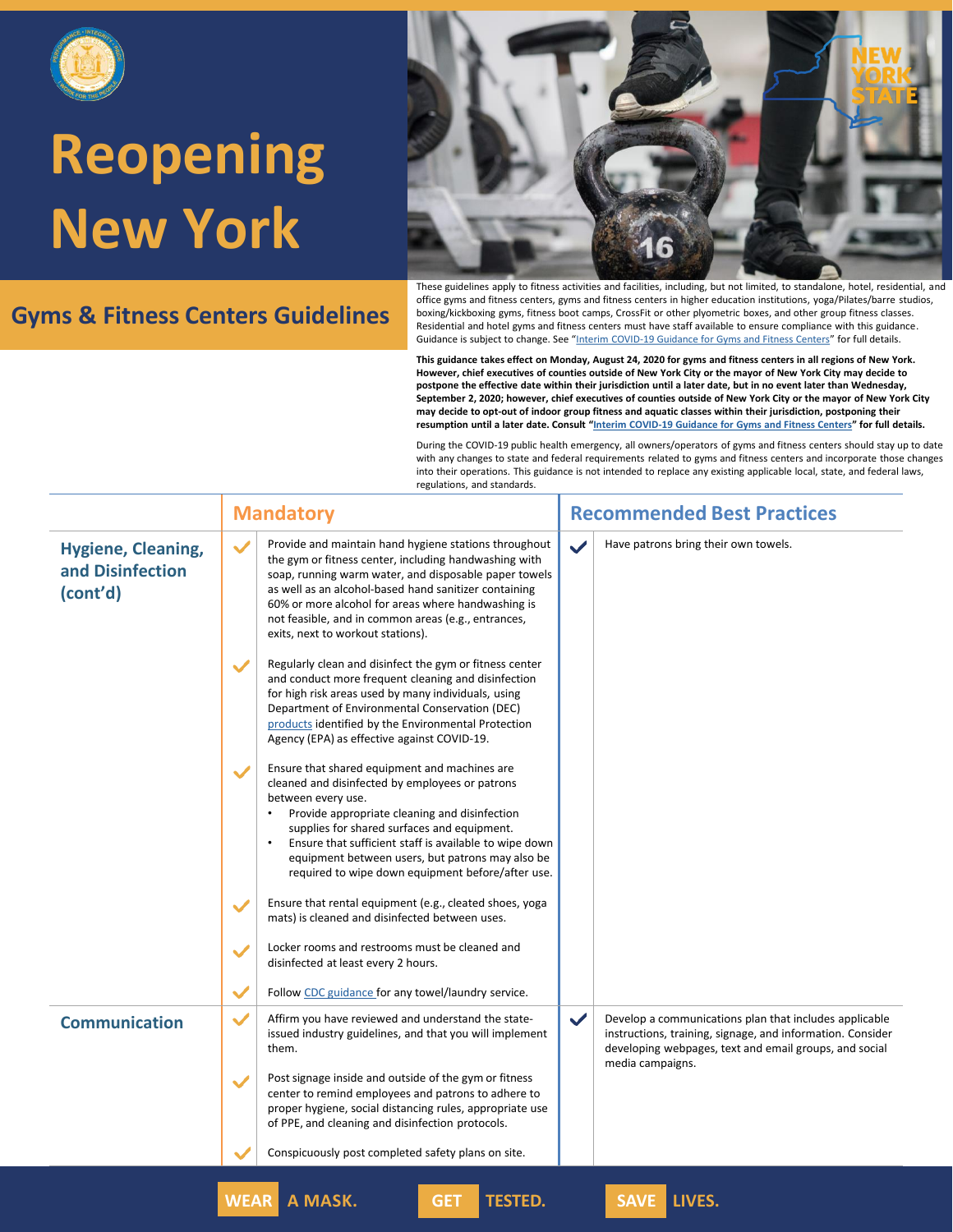

### **Gyms & Fitness Centers Guidelines**



These guidelines apply to fitness activities and facilities, including, but not limited, to standalone, hotel, residential, and office gyms and fitness centers, gyms and fitness centers in higher education institutions, yoga/Pilates/barre studios, boxing/kickboxing gyms, fitness boot camps, CrossFit or other plyometric boxes, and other group fitness classes. Residential and hotel gyms and fitness centers must have staff available to ensure compliance with this guidance. Guidance is subject to change. See "[Interim COVID-19 Guidance for Gyms and Fitness Centers](https://www.governor.ny.gov/sites/governor.ny.gov/files/atoms/files/Gyms_and_Fitness_Centers_Detailed_Guidelines.pdf)" for full details.

**This guidance takes effect on Monday, August 24, 2020 for gyms and fitness centers in all regions of New York. However, chief executives of counties outside of New York City or the mayor of New York City may decide to postpone the effective date within their jurisdiction until a later date, but in no event later than Wednesday, September 2, 2020; however, chief executives of counties outside of New York City or the mayor of New York City may decide to opt-out of indoor group fitness and aquatic classes within their jurisdiction, postponing their resumption until a later date. Consult "[Interim COVID-19 Guidance for Gyms and Fitness Centers](https://www.governor.ny.gov/sites/governor.ny.gov/files/atoms/files/Gyms_and_Fitness_Centers_Detailed_Guidelines.pdf)" for full details.**

|                                                           | <b>Recommended Best Practices</b><br><b>Mandatory</b>                                                                                                                                                                                                                                                                                                                                                                                                                                |  |
|-----------------------------------------------------------|--------------------------------------------------------------------------------------------------------------------------------------------------------------------------------------------------------------------------------------------------------------------------------------------------------------------------------------------------------------------------------------------------------------------------------------------------------------------------------------|--|
| <b>Hygiene, Cleaning,</b><br>and Disinfection<br>(cont'd) | Provide and maintain hand hygiene stations throughout<br>Have patrons bring their own towels.<br>$\checkmark$<br>$\checkmark$<br>the gym or fitness center, including handwashing with<br>soap, running warm water, and disposable paper towels<br>as well as an alcohol-based hand sanitizer containing<br>60% or more alcohol for areas where handwashing is<br>not feasible, and in common areas (e.g., entrances,<br>exits, next to workout stations).                           |  |
|                                                           | Regularly clean and disinfect the gym or fitness center<br>$\checkmark$<br>and conduct more frequent cleaning and disinfection<br>for high risk areas used by many individuals, using<br>Department of Environmental Conservation (DEC)<br>products identified by the Environmental Protection<br>Agency (EPA) as effective against COVID-19.                                                                                                                                        |  |
|                                                           | Ensure that shared equipment and machines are<br>$\checkmark$<br>cleaned and disinfected by employees or patrons<br>between every use.<br>Provide appropriate cleaning and disinfection<br>supplies for shared surfaces and equipment.<br>Ensure that sufficient staff is available to wipe down<br>equipment between users, but patrons may also be<br>required to wipe down equipment before/after use.<br>Ensure that rental equipment (e.g., cleated shoes, yoga<br>$\checkmark$ |  |
|                                                           | mats) is cleaned and disinfected between uses.<br>Locker rooms and restrooms must be cleaned and<br>$\checkmark$<br>disinfected at least every 2 hours.<br>$\checkmark$<br>Follow CDC guidance for any towel/laundry service.                                                                                                                                                                                                                                                        |  |
| <b>Communication</b>                                      | Affirm you have reviewed and understand the state-<br>$\checkmark$<br>Develop a communications plan that includes applicable<br>$\checkmark$<br>issued industry guidelines, and that you will implement<br>instructions, training, signage, and information. Consider<br>developing webpages, text and email groups, and social<br>them.<br>media campaigns.<br>Post signage inside and outside of the gym or fitness<br>$\checkmark$                                                |  |
|                                                           | center to remind employees and patrons to adhere to<br>proper hygiene, social distancing rules, appropriate use<br>of PPE, and cleaning and disinfection protocols.<br>Conspicuously post completed safety plans on site.                                                                                                                                                                                                                                                            |  |
|                                                           | <b>SAVE LIVES.</b><br><b>WEAR</b><br>A MASK.<br><b>TESTED.</b><br><b>GET</b>                                                                                                                                                                                                                                                                                                                                                                                                         |  |